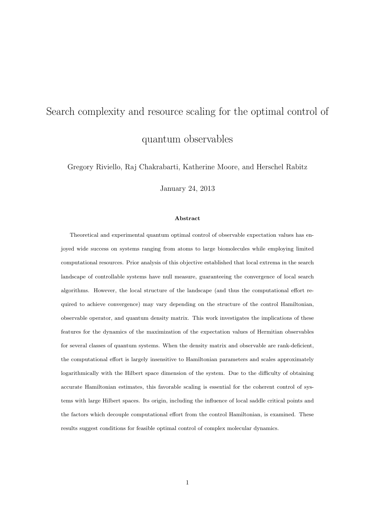# Search complexity and resource scaling for the optimal control of quantum observables

Gregory Riviello, Raj Chakrabarti, Katherine Moore, and Herschel Rabitz

January 24, 2013

#### Abstract

Theoretical and experimental quantum optimal control of observable expectation values has enjoyed wide success on systems ranging from atoms to large biomolecules while employing limited computational resources. Prior analysis of this objective established that local extrema in the search landscape of controllable systems have null measure, guaranteeing the convergence of local search algorithms. However, the local structure of the landscape (and thus the computational effort required to achieve convergence) may vary depending on the structure of the control Hamiltonian, observable operator, and quantum density matrix. This work investigates the implications of these features for the dynamics of the maximization of the expectation values of Hermitian observables for several classes of quantum systems. When the density matrix and observable are rank-deficient, the computational effort is largely insensitive to Hamiltonian parameters and scales approximately logarithmically with the Hilbert space dimension of the system. Due to the difficulty of obtaining accurate Hamiltonian estimates, this favorable scaling is essential for the coherent control of systems with large Hilbert spaces. Its origin, including the influence of local saddle critical points and the factors which decouple computational effort from the control Hamiltonian, is examined. These results suggest conditions for feasible optimal control of complex molecular dynamics.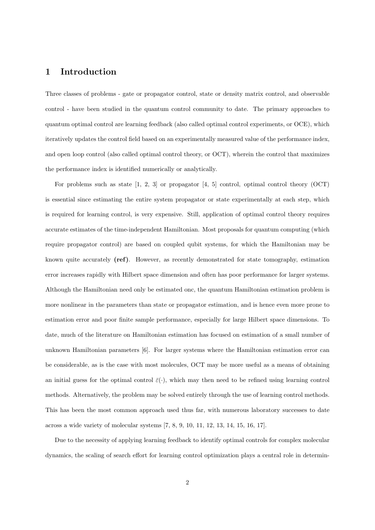## 1 Introduction

Three classes of problems - gate or propagator control, state or density matrix control, and observable control - have been studied in the quantum control community to date. The primary approaches to quantum optimal control are learning feedback (also called optimal control experiments, or OCE), which iteratively updates the control field based on an experimentally measured value of the performance index, and open loop control (also called optimal control theory, or OCT), wherein the control that maximizes the performance index is identified numerically or analytically.

For problems such as state [1, 2, 3] or propagator [4, 5] control, optimal control theory (OCT) is essential since estimating the entire system propagator or state experimentally at each step, which is required for learning control, is very expensive. Still, application of optimal control theory requires accurate estimates of the time-independent Hamiltonian. Most proposals for quantum computing (which require propagator control) are based on coupled qubit systems, for which the Hamiltonian may be known quite accurately (ref). However, as recently demonstrated for state tomography, estimation error increases rapidly with Hilbert space dimension and often has poor performance for larger systems. Although the Hamiltonian need only be estimated onc, the quantum Hamiltonian estimation problem is more nonlinear in the parameters than state or propagator estimation, and is hence even more prone to estimation error and poor finite sample performance, especially for large Hilbert space dimensions. To date, much of the literature on Hamiltonian estimation has focused on estimation of a small number of unknown Hamiltonian parameters [6]. For larger systems where the Hamiltonian estimation error can be considerable, as is the case with most molecules, OCT may be more useful as a means of obtaining an initial guess for the optimal control  $\bar{\varepsilon}(\cdot)$ , which may then need to be refined using learning control methods. Alternatively, the problem may be solved entirely through the use of learning control methods. This has been the most common approach used thus far, with numerous laboratory successes to date across a wide variety of molecular systems [7, 8, 9, 10, 11, 12, 13, 14, 15, 16, 17].

Due to the necessity of applying learning feedback to identify optimal controls for complex molecular dynamics, the scaling of search effort for learning control optimization plays a central role in determin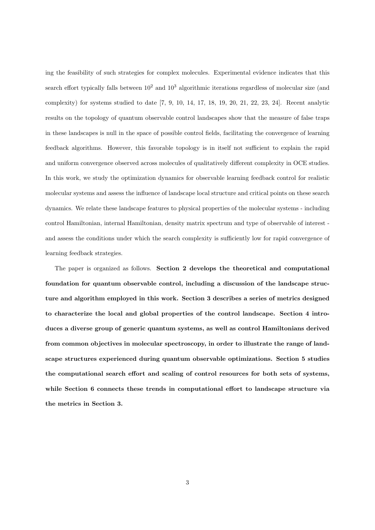ing the feasibility of such strategies for complex molecules. Experimental evidence indicates that this search effort typically falls between  $10^2$  and  $10^3$  algorithmic iterations regardless of molecular size (and complexity) for systems studied to date  $[7, 9, 10, 14, 17, 18, 19, 20, 21, 22, 23, 24]$ . Recent analytic results on the topology of quantum observable control landscapes show that the measure of false traps in these landscapes is null in the space of possible control fields, facilitating the convergence of learning feedback algorithms. However, this favorable topology is in itself not sufficient to explain the rapid and uniform convergence observed across molecules of qualitatively different complexity in OCE studies. In this work, we study the optimization dynamics for observable learning feedback control for realistic molecular systems and assess the influence of landscape local structure and critical points on these search dynamics. We relate these landscape features to physical properties of the molecular systems - including control Hamiltonian, internal Hamiltonian, density matrix spectrum and type of observable of interest and assess the conditions under which the search complexity is sufficiently low for rapid convergence of learning feedback strategies.

The paper is organized as follows. Section 2 develops the theoretical and computational foundation for quantum observable control, including a discussion of the landscape structure and algorithm employed in this work. Section 3 describes a series of metrics designed to characterize the local and global properties of the control landscape. Section 4 introduces a diverse group of generic quantum systems, as well as control Hamiltonians derived from common objectives in molecular spectroscopy, in order to illustrate the range of landscape structures experienced during quantum observable optimizations. Section 5 studies the computational search effort and scaling of control resources for both sets of systems, while Section 6 connects these trends in computational effort to landscape structure via the metrics in Section 3.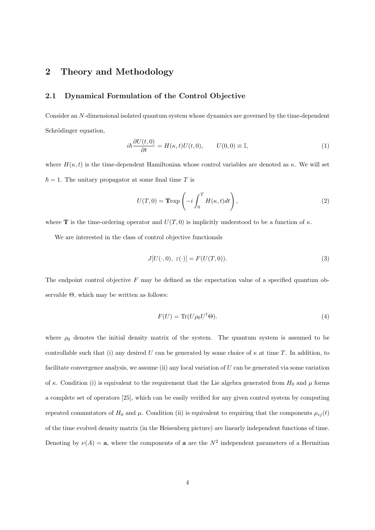# 2 Theory and Methodology

## 2.1 Dynamical Formulation of the Control Objective

Consider an N-dimensional isolated quantum system whose dynamics are governed by the time-dependent Schrödinger equation,

$$
i\hbar \frac{\partial U(t,0)}{\partial t} = H(\kappa, t)U(t,0), \qquad U(0,0) \equiv \mathbb{I},\tag{1}
$$

where  $H(\kappa, t)$  is the time-dependent Hamiltonian whose control variables are denoted as  $\kappa$ . We will set  $\hbar = 1$ . The unitary propagator at some final time T is

$$
U(T,0) = \mathbf{T} \exp\left(-i \int_0^T H(\kappa,t)dt\right),\tag{2}
$$

where **T** is the time-ordering operator and  $U(T, 0)$  is implicitly understood to be a function of  $\kappa$ .

We are interested in the class of control objective functionals

$$
J[U(\cdot,0),\ \varepsilon(\cdot)] = F(U(T,0)).\tag{3}
$$

The endpoint control objective  $F$  may be defined as the expectation value of a specified quantum observable Θ, which may be written as follows:

$$
F(U) = \text{Tr}(U\rho_0 U^{\dagger} \Theta). \tag{4}
$$

where  $\rho_0$  denotes the initial density matrix of the system. The quantum system is assumed to be controllable such that (i) any desired U can be generated by some choice of  $\kappa$  at time T. In addition, to facilitate convergence analysis, we assume (ii) any local variation of U can be generated via some variation of  $\kappa$ . Condition (i) is equivalent to the requirement that the Lie algebra generated from  $H_0$  and  $\mu$  forms a complete set of operators [25], which can be easily verified for any given control system by computing repeated commutators of  $H_0$  and  $\mu$ . Condition (ii) is equivalent to requiring that the components  $\mu_{ij}(t)$ of the time evolved density matrix (in the Heisenberg picture) are linearly independent functions of time. Denoting by  $\nu(A) = \mathbf{a}$ , where the components of  $\mathbf{a}$  are the  $N^2$  independent parameters of a Hermitian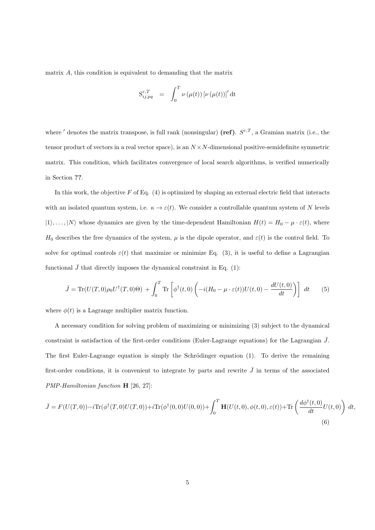matrix A, this condition is equivalent to demanding that the matrix

$$
\mathbf{S}_{ij,pq}^{\varepsilon,T} \quad = \quad \int_0^T \nu \left( \mu(t) \right) \left[ \nu \left( \mu(t) \right) \right]' \mathrm{d} \mathbf{t}
$$

where ' denotes the matrix transpose, is full rank (nonsingular) (ref).  $S^{\varepsilon,T}$ , a Gramian matrix (i.e., the tensor product of vectors in a real vector space), is an  $N \times N$ -dimensional positive-semidefinite symmetric matrix. This condition, which facilitates convergence of local search algorithms, is verified numerically in Section ??.

In this work, the objective  $F$  of Eq. (4) is optimized by shaping an external electric field that interacts with an isolated quantum system, i.e.  $\kappa \to \varepsilon(t)$ . We consider a controllable quantum system of N levels  $|1\rangle, \ldots, |N\rangle$  whose dynamics are given by the time-dependent Hamiltonian  $H(t) = H_0 - \mu \cdot \varepsilon(t)$ , where H<sub>0</sub> describes the free dynamics of the system,  $\mu$  is the dipole operator, and  $\varepsilon(t)$  is the control field. To solve for optimal controls  $\varepsilon(t)$  that maximize or minimize Eq. (3), it is useful to define a Lagrangian functional  $\bar{J}$  that directly imposes the dynamical constraint in Eq. (1):

$$
\bar{J} = \text{Tr}(U(T,0)\rho_0 U^{\dagger}(T,0)\Theta) + \int_0^T \text{Tr}\left[\phi^{\dagger}(t,0)\left(-i(H_0 - \mu \cdot \varepsilon(t))U(t,0) - \frac{dU(t,0)}{dt}\right)\right] dt \tag{5}
$$

where  $\phi(t)$  is a Lagrange multiplier matrix function.

A necessary condition for solving problem of maximizing or minimizing (3) subject to the dynamical constraint is satisfaction of the first-order conditions (Euler-Lagrange equations) for the Lagrangian  $\bar{J}$ . The first Euler-Lagrange equation is simply the Schrödinger equation  $(1)$ . To derive the remaining first-order conditions, it is convenient to integrate by parts and rewrite  $\bar{J}$  in terms of the associated PMP-Hamiltonian function H [26, 27]:

$$
\bar{J} = F(U(T,0)) - i \text{Tr}(\phi^{\dagger}(T,0)U(T,0)) + i \text{Tr}(\phi^{\dagger}(0,0)U(0,0)) + \int_0^T \mathbf{H}(U(t,0),\phi(t,0),\varepsilon(t)) + \text{Tr}\left(\frac{d\phi^{\dagger}(t,0)}{dt}U(t,0)\right) dt,
$$
\n(6)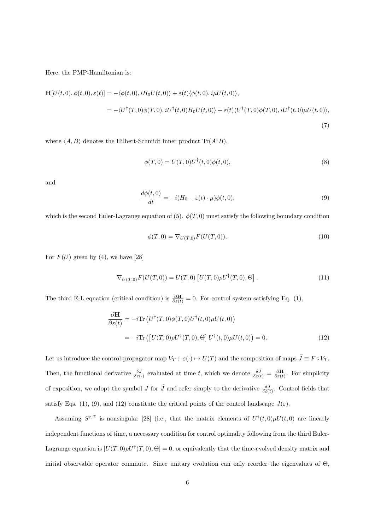Here, the PMP-Hamiltonian is:

$$
\mathbf{H}[U(t,0),\phi(t,0),\varepsilon(t)] = -\langle \phi(t,0),iH_0U(t,0) \rangle + \varepsilon(t)\langle \phi(t,0),i\mu U(t,0) \rangle,
$$
  

$$
= -\langle U^{\dagger}(T,0)\phi(T,0),iU^{\dagger}(t,0)H_0U(t,0) \rangle + \varepsilon(t)\langle U^{\dagger}(T,0)\phi(T,0),iU^{\dagger}(t,0)\mu U(t,0) \rangle,
$$
  
(7)

where  $\langle A, B \rangle$  denotes the Hilbert-Schmidt inner product Tr( $A^{\dagger}B$ ),

$$
\phi(T,0) = U(T,0)U^{\dagger}(t,0)\phi(t,0),
$$
\n(8)

and

$$
\frac{d\phi(t,0)}{dt} = -i(H_0 - \varepsilon(t) \cdot \mu)\phi(t,0),\tag{9}
$$

which is the second Euler-Lagrange equation of (5).  $\phi(T, 0)$  must satisfy the following boundary condition

$$
\phi(T,0) = \nabla_{U(T,0)} F(U(T,0)).
$$
\n(10)

For  $F(U)$  given by (4), we have [28]

$$
\nabla_{U(T,0)} F(U(T,0)) = U(T,0) [U(T,0)\rho U^{\dagger}(T,0),\Theta].
$$
\n(11)

The third E-L equation (critical condition) is  $\frac{\partial \mathbf{H}}{\partial \varepsilon(t)} = 0$ . For control system satisfying Eq. (1),

$$
\frac{\partial \mathbf{H}}{\partial \varepsilon(t)} = -i \text{Tr} \left( U^{\dagger}(T,0) \phi(T,0) U^{\dagger}(t,0) \mu U(t,0) \right)
$$

$$
= -i \text{Tr} \left( \left[ U(T,0) \rho U^{\dagger}(T,0), \Theta \right] U^{\dagger}(t,0) \mu U(t,0) \right) = 0. \tag{12}
$$

Let us introduce the control-propagator map  $V_T: \ \varepsilon(\cdot) \mapsto U(T)$  and the composition of maps  $\tilde{J} \equiv F \circ V_T$ . Then, the functional derivative  $\frac{\delta \tilde{J}}{\delta \varepsilon(\cdot)}$  evaluated at time t, which we denote  $\frac{\delta \tilde{J}}{\delta \varepsilon(t)} = \frac{\partial \mathbf{H}}{\partial \varepsilon(t)}$ . For simplicity of exposition, we adopt the symbol J for  $\tilde{J}$  and refer simply to the derivative  $\frac{\delta J}{\delta \varepsilon(t)}$ . Control fields that satisfy Eqs. (1), (9), and (12) constitute the critical points of the control landscape  $J(\varepsilon)$ .

Assuming  $S^{\varepsilon,T}$  is nonsingular [28] (i.e., that the matrix elements of  $U^{\dagger}(t,0)\mu U(t,0)$  are linearly independent functions of time, a necessary condition for control optimality following from the third Euler-Lagrange equation is  $[U(T,0)\rho U^{\dagger}(T,0),\Theta]=0$ , or equivalently that the time-evolved density matrix and initial observable operator commute. Since unitary evolution can only reorder the eigenvalues of Θ,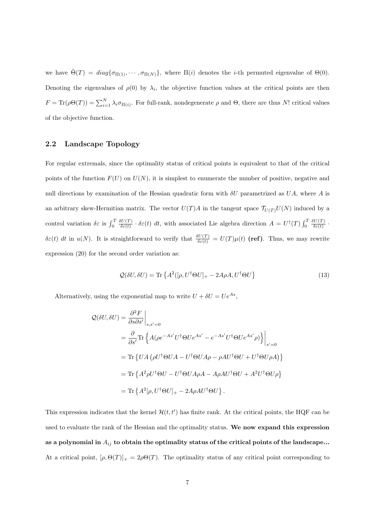we have  $\tilde{\Theta}(T) = diag\{\sigma_{\Pi(1)}, \cdots, \sigma_{\Pi(N)}\}$ , where  $\Pi(i)$  denotes the *i*-th permuted eigenvalue of  $\Theta(0)$ . Denoting the eigenvalues of  $\rho(0)$  by  $\lambda_i$ , the objective function values at the critical points are then  $F = \text{Tr}(\rho \Theta(T)) = \sum_{i=1}^{N} \lambda_i \sigma_{\Pi(i)}$ . For full-rank, nondegenerate  $\rho$  and  $\Theta$ , there are thus N! critical values of the objective function.

#### 2.2 Landscape Topology

For regular extremals, since the optimality status of critical points is equivalent to that of the critical points of the function  $F(U)$  on  $U(N)$ , it is simplest to enumerate the number of positive, negative and null directions by examination of the Hessian quadratic form with  $\delta U$  parametrized as  $UA$ , where A is an arbitrary skew-Hermitian matrix. The vector  $U(T)A$  in the tangent space  $\mathcal{T}_{U(T)}U(N)$  induced by a control variation  $\delta \varepsilon$  is  $\int_0^T$  $\delta U(T)$  $\frac{\delta U(T)}{\delta \varepsilon(t)} \cdot \delta \varepsilon(t) dt$ , with associated Lie algebra direction  $A = U^{\dagger}(T) \int_0^T$  $\delta U(T)$  $\frac{\partial U(I)}{\partial \varepsilon(t)}$ .  $\delta\varepsilon(t)$  dt in  $u(N)$ . It is straightforward to verify that  $\frac{\delta U(T)}{\delta\varepsilon(t)} = U(T)\mu(t)$  (**ref)**. Thus, we may rewrite expression (20) for the second order variation as:

$$
Q(\delta U, \delta U) = \text{Tr}\left\{A^2([\rho, U^\dagger \Theta U]_+ - 2A\rho A, U^\dagger \Theta U\right\}
$$
\n(13)

Alternatively, using the exponential map to write  $U + \delta U = U e^{As}$ ,

$$
\mathcal{Q}(\delta U, \delta U) = \frac{\partial^2 F}{\partial s \partial s'}\Big|_{s, s'=0}
$$
  
=  $\frac{\partial}{\partial s'} \text{Tr} \Big\{ A(\rho e^{-As'} U^{\dagger} \Theta U e^{As'} - e^{-As'} U^{\dagger} \Theta U e^{As'} \rho) \Big\}\Big|_{s'=0}$   
=  $\text{Tr} \Big\{ UA \Big( \rho U^{\dagger} \Theta UA - U^{\dagger} \Theta UA \rho - \rho A U^{\dagger} \Theta U + U^{\dagger} \Theta U \rho A \Big) \Big\}$   
=  $\text{Tr} \Big\{ A^2 \rho U^{\dagger} \Theta U - U^{\dagger} \Theta UA \rho A - A \rho A U^{\dagger} \Theta U + A^2 U^{\dagger} \Theta U \rho \Big\}$   
=  $\text{Tr} \Big\{ A^2 [\rho, U^{\dagger} \Theta U]_+ - 2A \rho A U^{\dagger} \Theta U \Big\}.$ 

This expression indicates that the kernel  $\mathcal{H}(t, t')$  has finite rank. At the critical points, the HQF can be used to evaluate the rank of the Hessian and the optimality status. We now expand this expression as a polynomial in  $A_{ij}$  to obtain the optimality status of the critical points of the landscape... At a critical point,  $[\rho, \Theta(T)]_+ = 2\rho\Theta(T)$ . The optimality status of any critical point corresponding to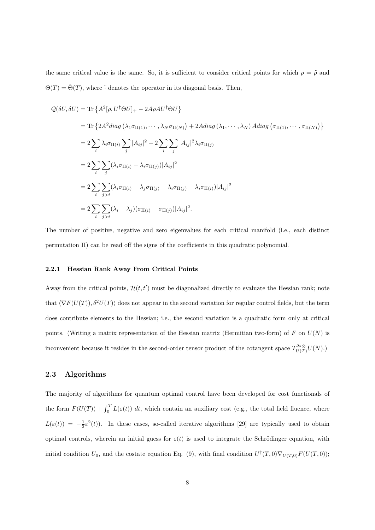the same critical value is the same. So, it is sufficient to consider critical points for which  $\rho = \tilde{\rho}$  and  $\Theta(T) = \tilde{\Theta}(T)$ , where  $\tilde{\cdot}$  denotes the operator in its diagonal basis. Then,

$$
Q(\delta U, \delta U) = \text{Tr}\left\{A^2[\rho, U^{\dagger}\Theta U]_+ - 2A\rho A U^{\dagger}\Theta U\right\}
$$
  
\n
$$
= \text{Tr}\left\{2A^2 diag\left(\lambda_1 \sigma_{\Pi(1)}, \cdots, \lambda_N \sigma_{\Pi(N)}\right) + 2A diag\left(\lambda_1, \cdots, \lambda_N\right) A diag\left(\sigma_{\Pi(1)}, \cdots, \sigma_{\Pi(N)}\right)\right\}
$$
  
\n
$$
= 2\sum_i \lambda_i \sigma_{\Pi(i)} \sum_j |A_{ij}|^2 - 2\sum_i \sum_j |A_{ij}|^2 \lambda_i \sigma_{\Pi(j)}
$$
  
\n
$$
= 2\sum_i \sum_j (\lambda_i \sigma_{\Pi(i)} - \lambda_i \sigma_{\Pi(j)}) |A_{ij}|^2
$$
  
\n
$$
= 2\sum_i \sum_{j>i} (\lambda_i \sigma_{\Pi(i)} + \lambda_j \sigma_{\Pi(j)} - \lambda_i \sigma_{\Pi(j)} - \lambda_i \sigma_{\Pi(i)}) |A_{ij}|^2
$$
  
\n
$$
= 2\sum_i \sum_{j>i} (\lambda_i - \lambda_j) (\sigma_{\Pi(i)} - \sigma_{\Pi(j)}) |A_{ij}|^2.
$$

The number of positive, negative and zero eigenvalues for each critical manifold (i.e., each distinct permutation Π) can be read off the signs of the coefficients in this quadratic polynomial.

#### 2.2.1 Hessian Rank Away From Critical Points

Away from the critical points,  $\mathcal{H}(t, t')$  must be diagonalized directly to evaluate the Hessian rank; note that  $\langle \nabla F(U(T)), \delta^2 U(T) \rangle$  does not appear in the second variation for regular control fields, but the term does contribute elements to the Hessian; i.e., the second variation is a quadratic form only at critical points. (Writing a matrix representation of the Hessian matrix (Hermitian two-form) of F on  $U(N)$  is inconvenient because it resides in the second-order tensor product of the cotangent space  $T_{U(T)}^{2*\otimes}U(N)$ .)

## 2.3 Algorithms

The majority of algorithms for quantum optimal control have been developed for cost functionals of the form  $F(U(T)) + \int_0^T L(\varepsilon(t)) dt$ , which contain an auxiliary cost (e.g., the total field fluence, where  $L(\varepsilon(t)) = -\frac{1}{2}\varepsilon^2(t)$ . In these cases, so-called iterative algorithms [29] are typically used to obtain optimal controls, wherein an initial guess for  $\varepsilon(t)$  is used to integrate the Schrödinger equation, with initial condition  $U_0$ , and the costate equation Eq. (9), with final condition  $U^{\dagger}(T,0)\nabla_{U(T,0)}F(U(T,0));$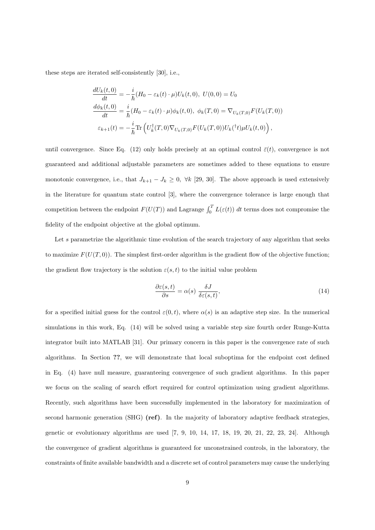these steps are iterated self-consistently [30], i.e.,

$$
\frac{dU_k(t,0)}{dt} = -\frac{i}{\hbar}(H_0 - \varepsilon_k(t) \cdot \mu)U_k(t,0), \ U(0,0) = U_0
$$
  
\n
$$
\frac{d\phi_k(t,0)}{dt} = \frac{i}{\hbar}(H_0 - \varepsilon_k(t) \cdot \mu)\phi_k(t,0), \ \phi_k(T,0) = \nabla_{U_k(T,0)}F(U_k(T,0))
$$
  
\n
$$
\varepsilon_{k+1}(t) = -\frac{i}{\hbar}\text{Tr}\left(U_k^{\dagger}(T,0)\nabla_{U_k(T,0)}F(U_k(T,0))U_k(^{\dagger}t)\mu U_k(t,0)\right),
$$

until convergence. Since Eq. (12) only holds precisely at an optimal control  $\bar{\varepsilon}(t)$ , convergence is not guaranteed and additional adjustable parameters are sometimes added to these equations to ensure monotonic convergence, i.e., that  $J_{k+1} - J_k \geq 0$ ,  $\forall k$  [29, 30]. The above approach is used extensively in the literature for quantum state control [3], where the convergence tolerance is large enough that competition between the endpoint  $F(U(T))$  and Lagrange  $\int_0^T L(\varepsilon(t)) dt$  terms does not compromise the fidelity of the endpoint objective at the global optimum.

Let s parametrize the algorithmic time evolution of the search trajectory of any algorithm that seeks to maximize  $F(U(T, 0))$ . The simplest first-order algorithm is the gradient flow of the objective function; the gradient flow trajectory is the solution  $\varepsilon(s,t)$  to the initial value problem

$$
\frac{\partial \varepsilon(s,t)}{\partial s} = \alpha(s) \frac{\delta J}{\delta \varepsilon(s,t)},\tag{14}
$$

for a specified initial guess for the control  $\varepsilon(0, t)$ , where  $\alpha(s)$  is an adaptive step size. In the numerical simulations in this work, Eq. (14) will be solved using a variable step size fourth order Runge-Kutta integrator built into MATLAB [31]. Our primary concern in this paper is the convergence rate of such algorithms. In Section ??, we will demonstrate that local suboptima for the endpoint cost defined in Eq. (4) have null measure, guaranteeing convergence of such gradient algorithms. In this paper we focus on the scaling of search effort required for control optimization using gradient algorithms. Recently, such algorithms have been successfully implemented in the laboratory for maximization of second harmonic generation (SHG) (ref). In the majority of laboratory adaptive feedback strategies, genetic or evolutionary algorithms are used  $[7, 9, 10, 14, 17, 18, 19, 20, 21, 22, 23, 24]$ . Although the convergence of gradient algorithms is guaranteed for unconstrained controls, in the laboratory, the constraints of finite available bandwidth and a discrete set of control parameters may cause the underlying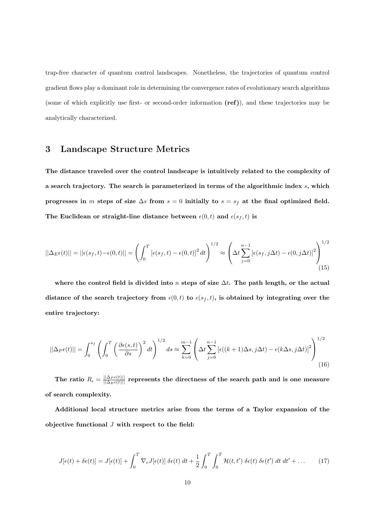trap-free character of quantum control landscapes. Nonetheless, the trajectories of quantum control gradient flows play a dominant role in determining the convergence rates of evolutionary search algorithms (some of which explicitly use first- or second-order information (ref)), and these trajectories may be analytically characterized.

## 3 Landscape Structure Metrics

The distance traveled over the control landscape is intuitively related to the complexity of a search trajectory. The search is parameterized in terms of the algorithmic index  $s$ , which progresses in m steps of size  $\Delta s$  from  $s = 0$  initially to  $s = s_f$  at the final optimized field. The Euclidean or straight-line distance between  $\epsilon(0, t)$  and  $\epsilon(s_f, t)$  is

$$
||\Delta_E \epsilon(t)|| = ||\epsilon(s_f, t) - \epsilon(0, t)|| = \left(\int_0^T \left[\epsilon(s_f, t) - \epsilon(0, t)\right]^2 dt\right)^{1/2} \approx \left(\Delta t \sum_{j=0}^{n-1} \left[\epsilon(s_f, j\Delta t) - \epsilon(0, j\Delta t)\right]^2\right)^{1/2}
$$
\n(15)

where the control field is divided into n steps of size  $\Delta t$ . The path length, or the actual distance of the search trajectory from  $\epsilon(0, t)$  to  $\epsilon(s_f, t)$ , is obtained by integrating over the entire trajectory:

$$
||\Delta_P \epsilon(t)|| = \int_0^{s_f} \left( \int_0^T \left( \frac{\partial \epsilon(s,t)}{\partial s} \right)^2 dt \right)^{1/2} ds \approx \sum_{k=0}^{m-1} \left( \Delta t \sum_{j=0}^{n-1} \left[ \epsilon((k+1)\Delta s, j\Delta t) - \epsilon(k\Delta s, j\Delta t) \right]^2 \right)^{1/2} \tag{16}
$$

The ratio  $R_{\epsilon} = \frac{||\Delta_P \epsilon(t)||}{||\Delta_E \epsilon(t)||}$  represents the directness of the search path and is one measure of search complexity.

Additional local structure metrics arise from the terms of a Taylor expansion of the objective functional  $J$  with respect to the field:

$$
J[\epsilon(t) + \delta \epsilon(t)] = J[\epsilon(t)] + \int_0^T \nabla_{\epsilon} J[\epsilon(t)] \delta \epsilon(t) dt + \frac{1}{2} \int_0^T \int_0^T \mathcal{H}(t, t') \delta \epsilon(t) \delta \epsilon(t') dt dt' + ... \qquad (17)
$$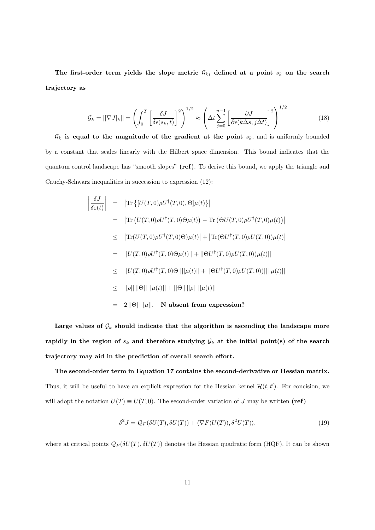The first-order term yields the slope metric  $\mathcal{G}_k$ , defined at a point  $s_k$  on the search trajectory as

$$
\mathcal{G}_k = ||\nabla J|_k|| = \left(\int_0^T \left[\frac{\delta J}{\delta \epsilon(s_k, t)}\right]^2\right)^{1/2} \approx \left(\Delta t \sum_{j=0}^{n-1} \left[\frac{\partial J}{\partial \epsilon(k\Delta s, j\Delta t)}\right]^2\right)^{1/2}
$$
(18)

 $\mathcal{G}_k$  is equal to the magnitude of the gradient at the point  $s_k$ , and is uniformly bounded by a constant that scales linearly with the Hilbert space dimension. This bound indicates that the quantum control landscape has "smooth slopes" (ref). To derive this bound, we apply the triangle and Cauchy-Schwarz inequalities in succession to expression (12):

$$
\begin{aligned}\n\left| \frac{\delta J}{\delta \varepsilon(t)} \right| &= \left| \text{Tr} \left\{ \left[ U(T,0) \rho U^{\dagger}(T,0), \Theta \right] \mu(t) \right\} \right| \\
&= \left| \text{Tr} \left( U(T,0) \rho U^{\dagger}(T,0) \Theta \mu(t) \right) - \text{Tr} \left( \Theta U(T,0) \rho U^{\dagger}(T,0) \mu(t) \right) \right| \\
&\leq \left| \text{Tr}(U(T,0) \rho U^{\dagger}(T,0) \Theta) \mu(t) \right| + \left| \text{Tr}(\Theta U^{\dagger}(T,0) \rho U(T,0)) \mu(t) \right| \\
&= \left| \left| U(T,0) \rho U^{\dagger}(T,0) \Theta \mu(t) \right| \right| + \left| \left| \Theta U^{\dagger}(T,0) \rho U(T,0) \right) \mu(t) \right| \\
&\leq \left| \left| U(T,0) \rho U^{\dagger}(T,0) \Theta \right| ||\mu(t) || + \left| \left| \Theta U^{\dagger}(T,0) \rho U(T,0) \right) \right| ||\mu(t) || \\
&\leq \left| \left| \rho \right| ||\left| \Theta \right| ||\mu(t) || + \left| \left| \Theta \right| ||\mu(t) ||\right| \\
&= 2 \left| \left| \Theta \right| ||\mu| \right|. \quad \textbf{N absent from expression?}\n\end{aligned}
$$

Large values of  $\mathcal{G}_k$  should indicate that the algorithm is ascending the landscape more rapidly in the region of  $s_k$  and therefore studying  $\mathcal{G}_k$  at the initial point(s) of the search trajectory may aid in the prediction of overall search effort.

The second-order term in Equation 17 contains the second-derivative or Hessian matrix. Thus, it will be useful to have an explicit expression for the Hessian kernel  $\mathcal{H}(t, t')$ . For concision, we will adopt the notation  $U(T) \equiv U(T, 0)$ . The second-order variation of J may be written (ref)

$$
\delta^2 J = \mathcal{Q}_F(\delta U(T), \delta U(T)) + \langle \nabla F(U(T)), \delta^2 U(T) \rangle. \tag{19}
$$

where at critical points  $\mathcal{Q}_F(\delta U(T), \delta U(T))$  denotes the Hessian quadratic form (HQF). It can be shown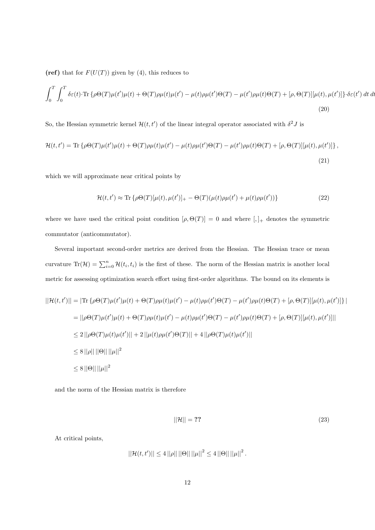(ref) that for  $F(U(T))$  given by (4), this reduces to

$$
\int_0^T \int_0^T \delta \varepsilon(t) \cdot \text{Tr} \left\{ \rho \Theta(T) \mu(t') \mu(t) + \Theta(T) \rho \mu(t) \mu(t') - \mu(t) \rho \mu(t') \Theta(T) - \mu(t') \rho \mu(t) \Theta(T) + [\rho, \Theta(T)][\mu(t), \mu(t')] \right\} \cdot \delta \varepsilon(t') \, dt \, dt
$$
\n(20)

So, the Hessian symmetric kernel  $\mathcal{H}(t, t')$  of the linear integral operator associated with  $\delta^2 J$  is

$$
\mathcal{H}(t,t') = \text{Tr}\left\{\rho\Theta(T)\mu(t')\mu(t) + \Theta(T)\rho\mu(t)\mu(t') - \mu(t)\rho\mu(t')\Theta(T) - \mu(t')\rho\mu(t)\Theta(T) + [\rho,\Theta(T)][\mu(t),\mu(t')]\right\},\tag{21}
$$

which we will approximate near critical points by

$$
\mathcal{H}(t, t') \approx \text{Tr}\left\{\rho \Theta(T)[\mu(t), \mu(t')]_{+} - \Theta(T)(\mu(t)\rho \mu(t') + \mu(t)\rho \mu(t'))\right\} \tag{22}
$$

where we have used the critical point condition  $[\rho, \Theta(T)] = 0$  and where  $[,]_+$  denotes the symmetric commutator (anticommutator).

Several important second-order metrics are derived from the Hessian. The Hessian trace or mean curvature  $\text{Tr}(\mathcal{H}) = \sum_{i=0}^{n} \mathcal{H}(t_i, t_i)$  is the first of these. The norm of the Hessian matrix is another local metric for assessing optimization search effort using first-order algorithms. The bound on its elements is

$$
||\mathcal{H}(t,t')|| = |\text{Tr}\{\rho\Theta(T)\mu(t')\mu(t) + \Theta(T)\rho\mu(t)\mu(t') - \mu(t)\rho\mu(t')\Theta(T) - \mu(t')\rho\mu(t)\Theta(T) + [\rho, \Theta(T)][\mu(t), \mu(t')]\}|
$$
  
\n
$$
= ||\rho\Theta(T)\mu(t')\mu(t) + \Theta(T)\rho\mu(t)\mu(t') - \mu(t)\rho\mu(t')\Theta(T) - \mu(t')\rho\mu(t)\Theta(T) + [\rho, \Theta(T)][\mu(t), \mu(t')]]|
$$
  
\n
$$
\leq 2||\rho\Theta(T)\mu(t)\mu(t')|| + 2||\mu(t)\rho\mu(t')\Theta(T)|| + 4||\rho\Theta(T)\mu(t)\mu(t')||
$$
  
\n
$$
\leq 8||\rho|| ||\Theta|| ||\mu||^2
$$
  
\n
$$
\leq 8||\Theta|| ||\mu||^2
$$

and the norm of the Hessian matrix is therefore

$$
||\mathcal{H}|| = ?? \tag{23}
$$

At critical points,

$$
||\mathcal{H}(t,t')|| \leq 4 ||\rho|| ||\Theta|| ||\mu||^2 \leq 4 ||\Theta|| ||\mu||^2.
$$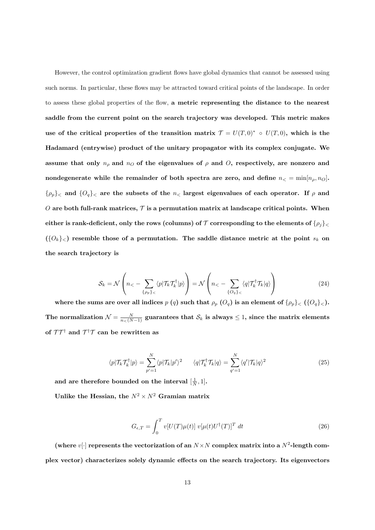However, the control optimization gradient flows have global dynamics that cannot be assessed using such norms. In particular, these flows may be attracted toward critical points of the landscape. In order to assess these global properties of the flow, a metric representing the distance to the nearest saddle from the current point on the search trajectory was developed. This metric makes use of the critical properties of the transition matrix  $\mathcal{T} = U(T, 0)^* \circ U(T, 0)$ , which is the Hadamard (entrywise) product of the unitary propagator with its complex conjugate. We assume that only  $n_{\rho}$  and  $n_{\sigma}$  of the eigenvalues of  $\rho$  and O, respectively, are nonzero and nondegenerate while the remainder of both spectra are zero, and define  $n_< = \min[n_\rho, n_O]$ .  $\{\rho_p\}_\text{<}$  and  $\{O_q\}_\text{<}$  are the subsets of the  $n_\text{<}$  largest eigenvalues of each operator. If  $\rho$  and O are both full-rank matrices,  $\mathcal T$  is a permutation matrix at landscape critical points. When either is rank-deficient, only the rows (columns) of  $\mathcal T$  corresponding to the elements of  $\{\rho_j\}_\leq$  $({{O_k}}_<)$  resemble those of a permutation. The saddle distance metric at the point  $s_k$  on the search trajectory is

$$
S_k = \mathcal{N}\left(n_< - \sum_{\{\rho_p\}_<} \langle p|\mathcal{T}_k \mathcal{T}_k^\dagger | p \rangle \right) = \mathcal{N}\left(n_< - \sum_{\{O_q\}_<} \langle q|\mathcal{T}_k^\dagger \mathcal{T}_k | q \rangle \right) \tag{24}
$$

where the sums are over all indices  $p(q)$  such that  $\rho_p(Q_q)$  is an element of  $\{\rho_p\}_{\leq}$  ( $\{O_q\}_{\leq}$ ). The normalization  $\mathcal{N} = \frac{N}{n<(N-1)}$  guarantees that  $\mathcal{S}_k$  is always  $\leq 1$ , since the matrix elements of  $\mathcal{T}\mathcal{T}^{\dagger}$  and  $\mathcal{T}^{\dagger}\mathcal{T}$  can be rewritten as

$$
\langle p|\mathcal{T}_k\mathcal{T}_k^{\dagger}|p\rangle = \sum_{p'=1}^N \langle p|\mathcal{T}_k|p'\rangle^2 \qquad \langle q|\mathcal{T}_k^{\dagger}\mathcal{T}_k|q\rangle = \sum_{q'=1}^N \langle q'|\mathcal{T}_k|q\rangle^2 \qquad (25)
$$

and are therefore bounded on the interval  $[\frac{1}{N}, 1]$ .

Unlike the Hessian, the  $N^2 \times N^2$  Gramian matrix

$$
G_{\epsilon,T} = \int_0^T v[U(T)\mu(t)] \ v[\mu(t)U^{\dagger}(T)]^T \ dt \qquad (26)
$$

(where  $v[\cdot]$  represents the vectorization of an  $N \times N$  complex matrix into a  $N^2$ -length complex vector) characterizes solely dynamic effects on the search trajectory. Its eigenvectors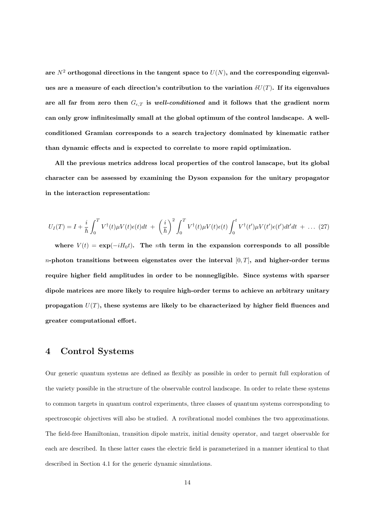are  $N^2$  orthogonal directions in the tangent space to  $U(N)$ , and the corresponding eigenvalues are a measure of each direction's contribution to the variation  $\delta U(T)$ . If its eigenvalues are all far from zero then  $G_{\epsilon,T}$  is well-conditioned and it follows that the gradient norm can only grow infinitesimally small at the global optimum of the control landscape. A wellconditioned Gramian corresponds to a search trajectory dominated by kinematic rather than dynamic effects and is expected to correlate to more rapid optimization.

All the previous metrics address local properties of the control lanscape, but its global character can be assessed by examining the Dyson expansion for the unitary propagator in the interaction representation:

$$
U_I(T) = I + \frac{i}{\hbar} \int_0^T V^{\dagger}(t) \mu V(t) \epsilon(t) dt + \left(\frac{i}{\hbar}\right)^2 \int_0^T V^{\dagger}(t) \mu V(t) \epsilon(t) \int_0^t V^{\dagger}(t') \mu V(t') \epsilon(t') dt' dt + \dots (27)
$$

where  $V(t) = \exp(-iH_0t)$ . The *n*th term in the expansion corresponds to all possible *n*-photon transitions between eigenstates over the interval  $[0, T]$ , and higher-order terms require higher field amplitudes in order to be nonnegligible. Since systems with sparser dipole matrices are more likely to require high-order terms to achieve an arbitrary unitary propagation  $U(T)$ , these systems are likely to be characterized by higher field fluences and greater computational effort.

## 4 Control Systems

Our generic quantum systems are defined as flexibly as possible in order to permit full exploration of the variety possible in the structure of the observable control landscape. In order to relate these systems to common targets in quantum control experiments, three classes of quantum systems corresponding to spectroscopic objectives will also be studied. A rovibrational model combines the two approximations. The field-free Hamiltonian, transition dipole matrix, initial density operator, and target observable for each are described. In these latter cases the electric field is parameterized in a manner identical to that described in Section 4.1 for the generic dynamic simulations.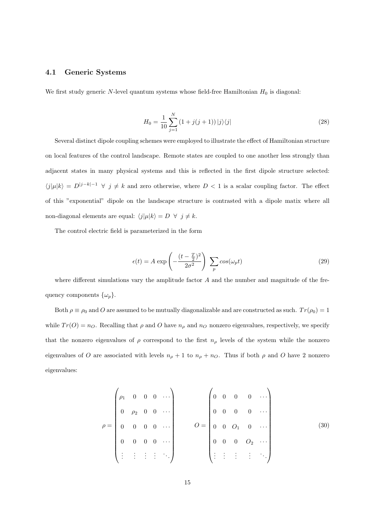## 4.1 Generic Systems

We first study generic  $N$ -level quantum systems whose field-free Hamiltonian  $H_0$  is diagonal:

$$
H_0 = \frac{1}{10} \sum_{j=1}^{N} \left( 1 + j(j+1) \right) |j\rangle\langle j| \tag{28}
$$

Several distinct dipole coupling schemes were employed to illustrate the effect of Hamiltonian structure on local features of the control landscape. Remote states are coupled to one another less strongly than adjacent states in many physical systems and this is reflected in the first dipole structure selected:  $\langle j|\mu|k\rangle = D^{|j-k|-1}$   $\forall j \neq k$  and zero otherwise, where  $D < 1$  is a scalar coupling factor. The effect of this "exponential" dipole on the landscape structure is contrasted with a dipole matix where all non-diagonal elements are equal:  $\langle j|\mu|k \rangle = D \ \forall \ j \neq k$ .

The control electric field is parameterized in the form

$$
\epsilon(t) = A \exp\left(-\frac{(t - \frac{T}{2})^2}{2\sigma^2}\right) \sum_p \cos(\omega_p t)
$$
 (29)

where different simulations vary the amplitude factor  $A$  and the number and magnitude of the frequency components  $\{\omega_p\}.$ 

Both  $\rho \equiv \rho_0$  and O are assumed to be mutually diagonalizable and are constructed as such.  $Tr(\rho_0) = 1$ while  $Tr(O) = n_O$ . Recalling that  $\rho$  and  $O$  have  $n_\rho$  and  $n_O$  nonzero eigenvalues, respectively, we specify that the nonzero eigenvalues of  $\rho$  correspond to the first  $n_{\rho}$  levels of the system while the nonzero eigenvalues of O are associated with levels  $n_{\rho} + 1$  to  $n_{\rho} + n_{O}$ . Thus if both  $\rho$  and O have 2 nonzero eigenvalues:

$$
\rho = \begin{pmatrix}\n\rho_1 & 0 & 0 & 0 & \cdots \\
0 & \rho_2 & 0 & 0 & \cdots \\
0 & 0 & 0 & 0 & \cdots \\
0 & 0 & 0 & 0 & \cdots \\
\vdots & \vdots & \vdots & \vdots & \ddots\n\end{pmatrix}\n\qquad\nO = \begin{pmatrix}\n0 & 0 & 0 & 0 & \cdots \\
0 & 0 & 0 & 0 & \cdots \\
0 & 0 & 0 & 0 & \cdots \\
0 & 0 & 0 & 0 & 0\n\end{pmatrix}
$$
\n(30)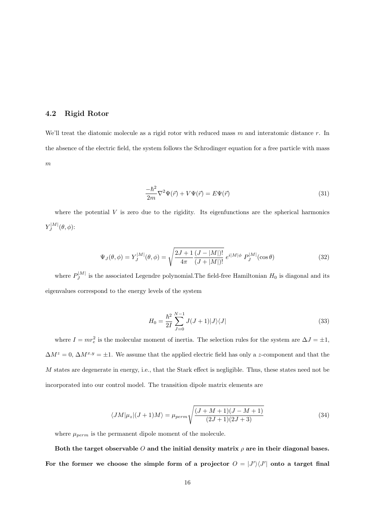## 4.2 Rigid Rotor

We'll treat the diatomic molecule as a rigid rotor with reduced mass  $m$  and interatomic distance  $r$ . In the absence of the electric field, the system follows the Schrodinger equation for a free particle with mass  $\overline{m}$ 

$$
\frac{-\hbar^2}{2m}\nabla^2\Psi(\vec{r}) + V\Psi(\vec{r}) = E\Psi(\vec{r})\tag{31}
$$

where the potential  $V$  is zero due to the rigidity. Its eigenfunctions are the spherical harmonics  $Y^{|M|}_{J}$  $J^{|\mathcal{M}|}(\theta,\phi)$ :

$$
\Psi_J(\theta,\phi) = Y_J^{|M|}(\theta,\phi) = \sqrt{\frac{2J+1}{4\pi} \frac{(J-|M|)!}{(J+|M|)!}} e^{i|M|\phi} P_J^{|M|}(\cos\theta)
$$
\n(32)

where  $P_I^{|M|}$  $J_J^{\text{EM}}$  is the associated Legendre polynomial. The field-free Hamiltonian  $H_0$  is diagonal and its eigenvalues correspond to the energy levels of the system

$$
H_0 = \frac{\hbar^2}{2I} \sum_{J=0}^{N-1} J(J+1)|J\rangle\langle J|
$$
\n(33)

where  $I = mr_e^2$  is the molecular moment of inertia. The selection rules for the system are  $\Delta J = \pm 1$ ,  $\Delta M^z = 0$ ,  $\Delta M^{x,y} = \pm 1$ . We assume that the applied electric field has only a z-component and that the M states are degenerate in energy, i.e., that the Stark effect is negligible. Thus, these states need not be incorporated into our control model. The transition dipole matrix elements are

$$
\langle JM|\mu_z|(J+1)M\rangle = \mu_{perm} \sqrt{\frac{(J+M+1)(J-M+1)}{(2J+1)(2J+3)}}
$$
\n(34)

where  $\mu_{perm}$  is the permanent dipole moment of the molecule.

Both the target observable O and the initial density matrix  $\rho$  are in their diagonal bases. For the former we choose the simple form of a projector  $\hat{O} = |J'\rangle\langle J'|$  onto a target final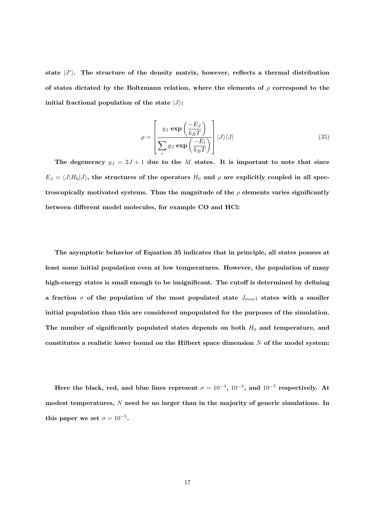state  $|J'\rangle$ . The structure of the density matrix, however, reflects a thermal distribution of states dictated by the Boltzmann relation, where the elements of  $\rho$  correspond to the initial fractional population of the state  $|J\rangle$ :

$$
\rho = \left[ \frac{g_J \exp\left(\frac{-E_J}{k_B T}\right)}{\sum_i g_J \exp\left(\frac{-E_l}{k_B T}\right)} \right] |J\rangle\langle J| \tag{35}
$$

The degeneracy  $g_J = 2J + 1$  due to the M states. It is important to note that since  $E_J = \langle J|H_0|J\rangle$ , the structures of the operators  $H_0$  and  $\rho$  are explicitly coupled in all spectroscopically motivated systems. Thus the magnitude of the  $\rho$  elements varies significantly between different model molecules, for example CO and HCl:

The asymptotic behavior of Equation 35 indicates that in principle, all states possess at least some initial population even at low temperatures. However, the population of many high-energy states is small enough to be insignificant. The cutoff is determined by defining a fraction  $\sigma$  of the population of the most populated state  $J_{max}$ ; states with a smaller initial population than this are considered unpopulated for the purposes of the simulation. The number of significantly populated states depends on both  $H_0$  and temperature, and constitutes a realistic lower bound on the Hilbert space dimension  $N$  of the model system:

Here the black, red, and blue lines represent  $\sigma = 10^{-3}$ ,  $10^{-5}$ , and  $10^{-7}$  respectively. At modest temperatures,  $N$  need be no larger than in the majority of generic simulations. In this paper we set  $\sigma = 10^{-5}$ .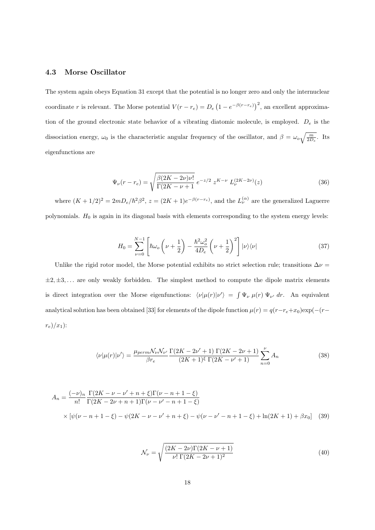## 4.3 Morse Oscillator

The system again obeys Equation 31 except that the potential is no longer zero and only the internuclear coordinate r is relevant. The Morse potential  $V(r - r_e) = D_e (1 - e^{-\beta(r - r_e)})^2$ , an excellent approximation of the ground electronic state behavior of a vibrating diatomic molecule, is employed.  $D_e$  is the dissociation energy,  $\omega_0$  is the characteristic angular frequency of the oscillator, and  $\beta = \omega_o \sqrt{\frac{m}{2D_e}}$ . Its eigenfunctions are

$$
\Psi_{\nu}(r - r_e) = \sqrt{\frac{\beta (2K - 2\nu)\nu!}{\Gamma(2K - \nu + 1)}} e^{-z/2} z^{K - \nu} L_{\nu}^{(2K - 2\nu)}(z)
$$
\n(36)

where  $(K+1/2)^2 = 2mD_e/\hbar^2\beta^2$ ,  $z = (2K+1)e^{-\beta(r-r_e)}$ , and the  $L_{\nu}^{(\alpha)}$  are the generalized Laguerre polynomials.  $H_0$  is again in its diagonal basis with elements corresponding to the system energy levels:

$$
H_0 = \sum_{\nu=0}^{N-1} \left[ \hbar \omega_o \left( \nu + \frac{1}{2} \right) - \frac{\hbar^2 \omega_o^2}{4D_e} \left( \nu + \frac{1}{2} \right)^2 \right] |\nu\rangle\langle\nu| \tag{37}
$$

Unlike the rigid rotor model, the Morse potential exhibits no strict selection rule; transitions  $\Delta \nu =$  $\pm 2, \pm 3, \ldots$  are only weakly forbidden. The simplest method to compute the dipole matrix elements is direct integration over the Morse eigenfunctions:  $\langle \nu | \mu(r) | \nu' \rangle = \int \Psi_{\nu} \mu(r) \Psi_{\nu'} dr$ . An equivalent analytical solution has been obtained [33] for elements of the dipole function  $\mu(r) = q(r-r_e+x_0) \exp(-(r-r_e+x_0))$  $r_e)/x_1$ ):

$$
\langle \nu | \mu(r) | \nu' \rangle = \frac{\mu_{perm} \mathcal{N}_{\nu} \mathcal{N}_{\nu'}}{\beta r_e} \frac{\Gamma(2K - 2\nu' + 1) \Gamma(2K - 2\nu + 1)}{(2K + 1)^{\xi} \Gamma(2K - \nu' + 1)} \sum_{n=0}^{\nu} A_n \tag{38}
$$

$$
A_n = \frac{(-\nu)_n}{n!} \frac{\Gamma(2K - \nu - \nu' + n + \xi)\Gamma(\nu - n + 1 - \xi)}{\Gamma(2K - 2\nu + n + 1)\Gamma(\nu - \nu' - n + 1 - \xi)}
$$
  
 
$$
\times [\psi(\nu - n + 1 - \xi) - \psi(2K - \nu - \nu' + n + \xi) - \psi(\nu - \nu' - n + 1 - \xi) + \ln(2K + 1) + \beta x_0]
$$
 (39)

$$
\mathcal{N}_{\nu} = \sqrt{\frac{(2K - 2\nu)\Gamma(2K - \nu + 1)}{\nu! \Gamma(2K - 2\nu + 1)^2}}
$$
(40)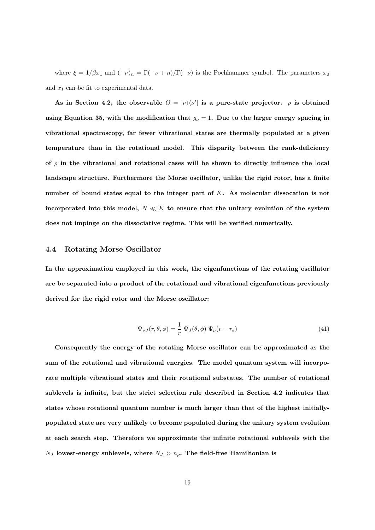where  $\xi = 1/\beta x_1$  and  $(-\nu)_n = \Gamma(-\nu + n)/\Gamma(-\nu)$  is the Pochhammer symbol. The parameters  $x_0$ and  $x_1$  can be fit to experimental data.

As in Section 4.2, the observable  $\hat{O} = |\nu\rangle\langle\nu'|$  is a pure-state projector.  $\rho$  is obtained using Equation 35, with the modification that  $g_{\nu} = 1$ . Due to the larger energy spacing in vibrational spectroscopy, far fewer vibrational states are thermally populated at a given temperature than in the rotational model. This disparity between the rank-deficiency of  $\rho$  in the vibrational and rotational cases will be shown to directly influence the local landscape structure. Furthermore the Morse oscillator, unlike the rigid rotor, has a finite number of bound states equal to the integer part of K. As molecular dissocation is not incorporated into this model,  $N \ll K$  to ensure that the unitary evolution of the system does not impinge on the dissociative regime. This will be verified numerically.

#### 4.4 Rotating Morse Oscillator

In the approximation employed in this work, the eigenfunctions of the rotating oscillator are be separated into a product of the rotational and vibrational eigenfunctions previously derived for the rigid rotor and the Morse oscillator:

$$
\Psi_{\nu J}(r,\theta,\phi) = \frac{1}{r} \Psi_J(\theta,\phi) \Psi_{\nu}(r-r_e)
$$
\n(41)

Consequently the energy of the rotating Morse oscillator can be approximated as the sum of the rotational and vibrational energies. The model quantum system will incorporate multiple vibrational states and their rotational substates. The number of rotational sublevels is infinite, but the strict selection rule described in Section 4.2 indicates that states whose rotational quantum number is much larger than that of the highest initiallypopulated state are very unlikely to become populated during the unitary system evolution at each search step. Therefore we approximate the infinite rotational sublevels with the  $N_J$  lowest-energy sublevels, where  $N_J \gg n_\rho$ . The field-free Hamiltonian is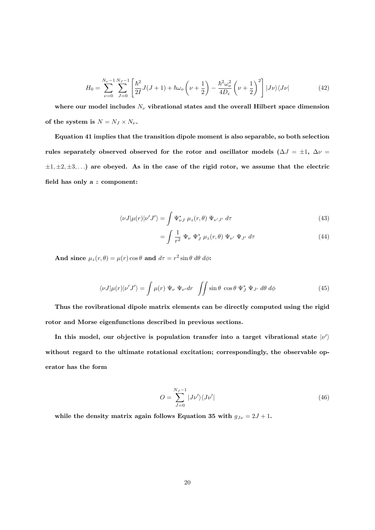$$
H_0 = \sum_{\nu=0}^{N_{\nu}-1} \sum_{J=0}^{N_J-1} \left[ \frac{\hbar^2}{2I} J(J+1) + \hbar \omega_o \left( \nu + \frac{1}{2} \right) - \frac{\hbar^2 \omega_o^2}{4D_e} \left( \nu + \frac{1}{2} \right)^2 \right] |J\nu\rangle\langle J\nu| \tag{42}
$$

where our model includes  $N_{\nu}$  vibrational states and the overall Hilbert space dimension of the system is  $N = N_J \times N_{\nu}$ .

Equation 41 implies that the transition dipole moment is also separable, so both selection rules separately observed observed for the rotor and oscillator models ( $\Delta J = \pm 1$ ,  $\Delta \nu =$  $\pm 1, \pm 2, \pm 3, \ldots$ ) are obeyed. As in the case of the rigid rotor, we assume that the electric field has only a  $\boldsymbol{z}$  component:

$$
\langle \nu J | \mu(r) | \nu' J' \rangle = \int \Psi_{\nu J}^* \mu_z(r,\theta) \Psi_{\nu' J'} d\tau \tag{43}
$$

$$
= \int \frac{1}{r^2} \Psi_{\nu} \Psi_{J}^* \mu_z(r,\theta) \Psi_{\nu'} \Psi_{J'} d\tau
$$
\n(44)

And since  $\mu_z(r, \theta) = \mu(r) \cos \theta$  and  $d\tau = r^2 \sin \theta \, d\theta \, d\phi$ :

$$
\langle \nu J | \mu(r) | \nu' J' \rangle = \int \mu(r) \, \Psi_{\nu} \, \Psi_{\nu'} dr \, \iint \sin \theta \, \cos \theta \, \Psi_J^* \, \Psi_{J'} \, d\theta \, d\phi \tag{45}
$$

Thus the rovibrational dipole matrix elements can be directly computed using the rigid rotor and Morse eigenfunctions described in previous sections.

In this model, our objective is population transfer into a target vibrational state  $|\nu'\rangle$ without regard to the ultimate rotational excitation; correspondingly, the observable operator has the form

$$
O = \sum_{J=0}^{N_J - 1} |J\nu'\rangle\langle J\nu'| \tag{46}
$$

while the density matrix again follows Equation 35 with  $g_{J\nu} = 2J + 1$ .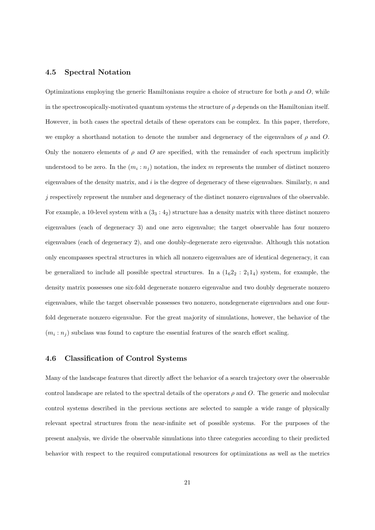#### 4.5 Spectral Notation

Optimizations employing the generic Hamiltonians require a choice of structure for both  $\rho$  and O, while in the spectroscopically-motivated quantum systems the structure of  $\rho$  depends on the Hamiltonian itself. However, in both cases the spectral details of these operators can be complex. In this paper, therefore, we employ a shorthand notation to denote the number and degeneracy of the eigenvalues of  $\rho$  and O. Only the nonzero elements of  $\rho$  and O are specified, with the remainder of each spectrum implicitly understood to be zero. In the  $(m_i : n_j)$  notation, the index m represents the number of distinct nonzero eigenvalues of the density matrix, and  $i$  is the degree of degeneracy of these eigenvalues. Similarly,  $n$  and j respectively represent the number and degeneracy of the distinct nonzero eigenvalues of the observable. For example, a 10-level system with a  $(3_3:4_2)$  structure has a density matrix with three distinct nonzero eigenvalues (each of degeneracy 3) and one zero eigenvalue; the target observable has four nonzero eigenvalues (each of degeneracy 2), and one doubly-degenerate zero eigenvalue. Although this notation only encompasses spectral structures in which all nonzero eigenvalues are of identical degeneracy, it can be generalized to include all possible spectral structures. In a  $(1<sub>6</sub>2<sub>2</sub>: 2<sub>1</sub>1<sub>4</sub>)$  system, for example, the density matrix possesses one six-fold degenerate nonzero eigenvalue and two doubly degenerate nonzero eigenvalues, while the target observable possesses two nonzero, nondegenerate eigenvalues and one fourfold degenerate nonzero eigenvalue. For the great majority of simulations, however, the behavior of the  $(m_i : n_j)$  subclass was found to capture the essential features of the search effort scaling.

#### 4.6 Classification of Control Systems

Many of the landscape features that directly affect the behavior of a search trajectory over the observable control landscape are related to the spectral details of the operators  $\rho$  and O. The generic and molecular control systems described in the previous sections are selected to sample a wide range of physically relevant spectral structures from the near-infinite set of possible systems. For the purposes of the present analysis, we divide the observable simulations into three categories according to their predicted behavior with respect to the required computational resources for optimizations as well as the metrics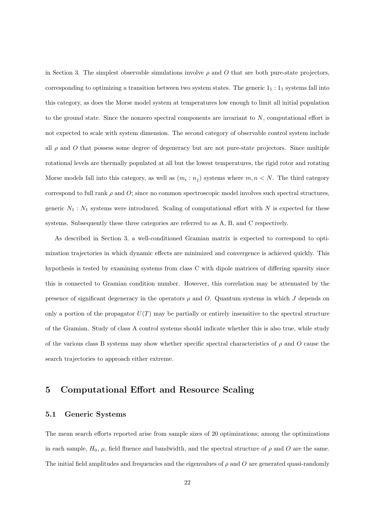in Section 3. The simplest observable simulations involve  $\rho$  and O that are both pure-state projectors, corresponding to optimizing a transition between two system states. The generic  $1_1 : 1_1$  systems fall into this category, as does the Morse model system at temperatures low enough to limit all initial population to the ground state. Since the nonzero spectral components are invariant to  $N$ , computational effort is not expected to scale with system dimension. The second category of observable control system include all  $\rho$  and O that possess some degree of degeneracy but are not pure-state projectors. Since multiple rotational levels are thermally populated at all but the lowest temperatures, the rigid rotor and rotating Morse models fall into this category, as well as  $(m_i : n_j)$  systems where  $m, n \lt N$ . The third category correspond to full rank  $\rho$  and  $O$ ; since no common spectroscopic model involves such spectral structures, generic  $N_1 : N_1$  systems were introduced. Scaling of computational effort with N is expected for these systems. Subsequently these three categories are referred to as A, B, and C respectively.

As described in Section 3, a well-conditioned Gramian matrix is expected to correspond to optimization trajectories in which dynamic effects are minimized and convergence is achieved quickly. This hypothesis is tested by examining systems from class C with dipole matrices of differing sparsity since this is connected to Gramian condition number. However, this correlation may be attenuated by the presence of significant degeneracy in the operators  $\rho$  and O. Quantum systems in which J depends on only a portion of the propagator  $U(T)$  may be partially or entirely insensitive to the spectral structure of the Gramian. Study of class A control systems should indicate whether this is also true, while study of the various class B systems may show whether specific spectral characteristics of  $\rho$  and O cause the search trajectories to approach either extreme.

# 5 Computational Effort and Resource Scaling

#### 5.1 Generic Systems

The mean search efforts reported arise from sample sizes of 20 optimizations; among the optimizations in each sample,  $H_0$ ,  $\mu$ , field fluence and bandwidth, and the spectral structure of  $\rho$  and O are the same. The initial field amplitudes and frequencies and the eigenvalues of  $\rho$  and  $O$  are generated quasi-randomly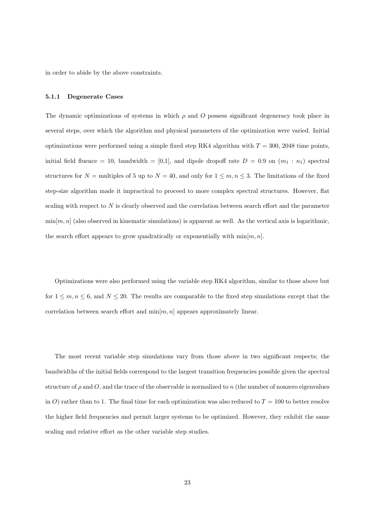in order to abide by the above constraints.

#### 5.1.1 Degenerate Cases

The dynamic optimizations of systems in which  $\rho$  and O possess significant degeneracy took place in several steps, over which the algorithm and physical parameters of the optimization were varied. Initial optimizations were performed using a simple fixed step RK4 algorithm with  $T = 300$ , 2048 time points, initial field fluence = 10, bandwidth = [0,1], and dipole dropoff rate  $D = 0.9$  on  $(m_1 : n_1)$  spectral structures for  $N =$  multiples of 5 up to  $N = 40$ , and only for  $1 \leq m, n \leq 3$ . The limitations of the fixed step-size algorithm made it impractical to proceed to more complex spectral structures. However, flat scaling with respect to  $N$  is clearly observed and the correlation between search effort and the parameter  $\min[m, n]$  (also observed in kinematic simulations) is apparent as well. As the vertical axis is logarithmic, the search effort appears to grow quadratically or exponentially with  $\min[m, n]$ .

Optimizations were also performed using the variable step RK4 algorithm, similar to those above but for  $1 \leq m, n \leq 6$ , and  $N \leq 20$ . The results are comparable to the fixed step simulations except that the correlation between search effort and  $\min[m, n]$  appears approximately linear.

The most recent variable step simulations vary from those above in two significant respects; the bandwidths of the initial fields correspond to the largest transition frequencies possible given the spectral structure of  $\rho$  and O, and the trace of the observable is normalized to n (the number of nonzero eigenvalues in O) rather than to 1. The final time for each optimization was also reduced to  $T = 100$  to better resolve the higher field frequencies and permit larger systems to be optimized. However, they exhibit the same scaling and relative effort as the other variable step studies.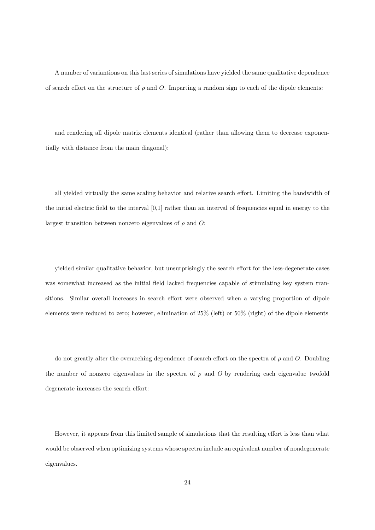A number of variantions on this last series of simulations have yielded the same qualitative dependence of search effort on the structure of  $\rho$  and O. Imparting a random sign to each of the dipole elements:

and rendering all dipole matrix elements identical (rather than allowing them to decrease exponentially with distance from the main diagonal):

all yielded virtually the same scaling behavior and relative search effort. Limiting the bandwidth of the initial electric field to the interval [0,1] rather than an interval of frequencies equal in energy to the largest transition between nonzero eigenvalues of  $\rho$  and O:

yielded similar qualitative behavior, but unsurprisingly the search effort for the less-degenerate cases was somewhat increased as the initial field lacked frequencies capable of stimulating key system transitions. Similar overall increases in search effort were observed when a varying proportion of dipole elements were reduced to zero; however, elimination of 25% (left) or 50% (right) of the dipole elements

do not greatly alter the overarching dependence of search effort on the spectra of  $\rho$  and O. Doubling the number of nonzero eigenvalues in the spectra of  $\rho$  and O by rendering each eigenvalue twofold degenerate increases the search effort:

However, it appears from this limited sample of simulations that the resulting effort is less than what would be observed when optimizing systems whose spectra include an equivalent number of nondegenerate eigenvalues.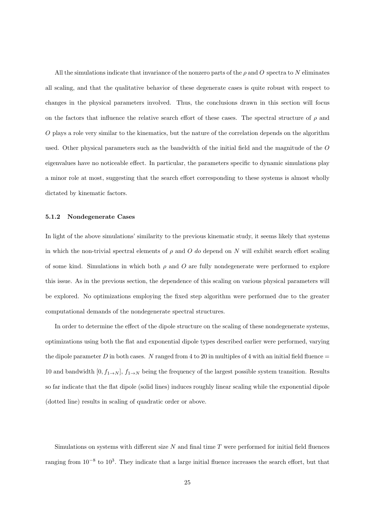All the simulations indicate that invariance of the nonzero parts of the  $\rho$  and O spectra to N eliminates all scaling, and that the qualitative behavior of these degenerate cases is quite robust with respect to changes in the physical parameters involved. Thus, the conclusions drawn in this section will focus on the factors that influence the relative search effort of these cases. The spectral structure of  $\rho$  and O plays a role very similar to the kinematics, but the nature of the correlation depends on the algorithm used. Other physical parameters such as the bandwidth of the initial field and the magnitude of the O eigenvalues have no noticeable effect. In particular, the parameters specific to dynamic simulations play a minor role at most, suggesting that the search effort corresponding to these systems is almost wholly dictated by kinematic factors.

#### 5.1.2 Nondegenerate Cases

In light of the above simulations' similarity to the previous kinematic study, it seems likely that systems in which the non-trivial spectral elements of  $\rho$  and O do depend on N will exhibit search effort scaling of some kind. Simulations in which both  $\rho$  and O are fully nondegenerate were performed to explore this issue. As in the previous section, the dependence of this scaling on various physical parameters will be explored. No optimizations employing the fixed step algorithm were performed due to the greater computational demands of the nondegenerate spectral structures.

In order to determine the effect of the dipole structure on the scaling of these nondegenerate systems, optimizations using both the flat and exponential dipole types described earlier were performed, varying the dipole parameter D in both cases. N ranged from 4 to 20 in multiples of 4 with an initial field fluence  $=$ 10 and bandwidth  $[0, f_{1\to N}], f_{1\to N}$  being the frequency of the largest possible system transition. Results so far indicate that the flat dipole (solid lines) induces roughly linear scaling while the exponential dipole (dotted line) results in scaling of quadratic order or above.

Simulations on systems with different size  $N$  and final time  $T$  were performed for initial field fluences ranging from  $10^{-8}$  to  $10^3$ . They indicate that a large initial fluence increases the search effort, but that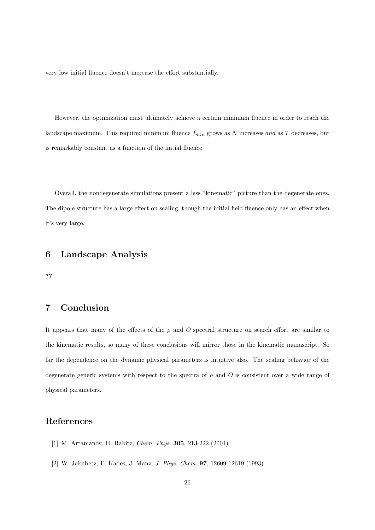very low initial fluence doesn't increase the effort substantially.

However, the optimization must ultimately achieve a certain minimum fluence in order to reach the landscape maximum. This required minimum fluence  $f_{min}$  grows as N increases and as T decreases, but is remarkably constant as a function of the initial fluence.

Overall, the nondegenerate simulations present a less "kinematic" picture than the degenerate ones. The dipole structure has a large effect on scaling, though the initial field fluence only has an effect when it's very large.

# 6 Landscape Analysis

??

# 7 Conclusion

It appears that many of the effects of the  $\rho$  and O spectral structure on search effort are similar to the kinematic results, so many of these conclusions will mirror those in the kinematic manuscript. So far the dependence on the dynamic physical parameters is intuitive also. The scaling behavior of the degenerate generic systems with respect to the spectra of  $\rho$  and O is consistent over a wide range of physical parameters.

# References

- [1] M. Artamanov, H. Rabitz, Chem. Phys. 305, 213-222 (2004)
- [2] W. Jakubetz, E. Kades, J. Manz, J. Phys. Chem. 97, 12609-12619 (1993)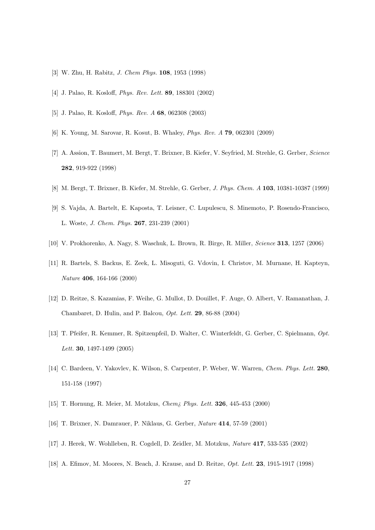- [3] W. Zhu, H. Rabitz, J. Chem Phys. 108, 1953 (1998)
- [4] J. Palao, R. Kosloff, Phys. Rev. Lett. 89, 188301 (2002)
- [5] J. Palao, R. Kosloff, Phys. Rev. A 68, 062308 (2003)
- [6] K. Young, M. Sarovar, R. Kosut, B. Whaley, Phys. Rev. A 79, 062301 (2009)
- [7] A. Assion, T. Baumert, M. Bergt, T. Brixner, B. Kiefer, V. Seyfried, M. Strehle, G. Gerber, Science 282, 919-922 (1998)
- [8] M. Bergt, T. Brixner, B. Kiefer, M. Strehle, G. Gerber, J. Phys. Chem. A 103, 10381-10387 (1999)
- [9] S. Vajda, A. Bartelt, E. Kaposta, T. Leisner, C. Lupulescu, S. Minemoto, P. Rosendo-Francisco, L. Woste, J. Chem. Phys. 267, 231-239 (2001)
- [10] V. Prokhorenko, A. Nagy, S. Waschuk, L. Brown, R. Birge, R. Miller, Science 313, 1257 (2006)
- [11] R. Bartels, S. Backus, E. Zeek, L. Misoguti, G. Vdovin, I. Christov, M. Murnane, H. Kapteyn, Nature 406, 164-166 (2000)
- [12] D. Reitze, S. Kazamias, F. Weihe, G. Mullot, D. Douillet, F. Auge, O. Albert, V. Ramanathan, J. Chambaret, D. Hulin, and P. Balcou, Opt. Lett. 29, 86-88 (2004)
- [13] T. Pfeifer, R. Kemmer, R. Spitzenpfeil, D. Walter, C. Winterfeldt, G. Gerber, C. Spielmann, Opt. Lett. 30, 1497-1499 (2005)
- [14] C. Bardeen, V. Yakovlev, K. Wilson, S. Carpenter, P. Weber, W. Warren, Chem. Phys. Lett. 280, 151-158 (1997)
- [15] T. Hornung, R. Meier, M. Motzkus, Chem¿ Phys. Lett. 326, 445-453 (2000)
- [16] T. Brixner, N. Damrauer, P. Niklaus, G. Gerber, Nature 414, 57-59 (2001)
- [17] J. Herek, W. Wohlleben, R. Cogdell, D. Zeidler, M. Motzkus, Nature 417, 533-535 (2002)
- [18] A. Efimov, M. Moores, N. Beach, J. Krause, and D. Reitze, Opt. Lett. 23, 1915-1917 (1998)